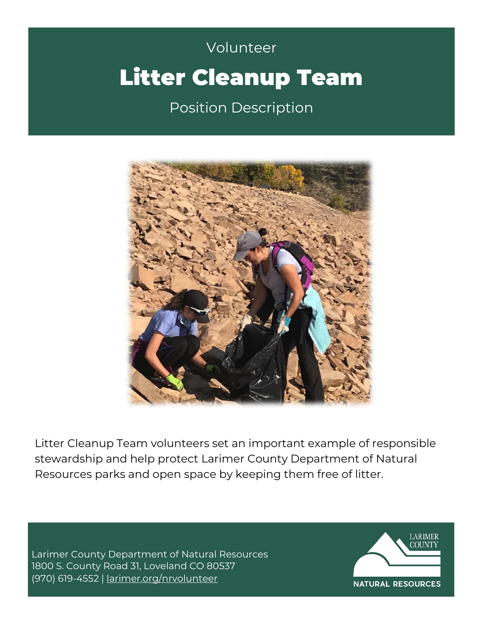# Volunteer Volunteer Litter Cleanup Team Position Description



Litter Cleanup Team volunteers set an important example of responsible stewardship and help protect Larimer County Department of Natural Resources parks and open space by keeping them free of litter.

Larimer County Department of Natural Resources 1800 S. County Road 31, Loveland CO 80537 (970) 619-4552 | [larimer.org/nrvolunteer](http://www.larimer.org/nrvolunteer)

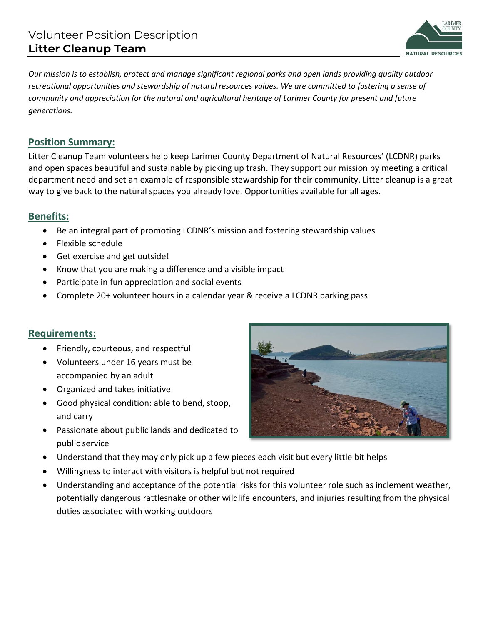

*Our mission is to establish, protect and manage significant regional parks and open lands providing quality outdoor recreational opportunities and stewardship of natural resources values. We are committed to fostering a sense of community and appreciation for the natural and agricultural heritage of Larimer County for present and future generations.* 

# **Position Summary:**

Litter Cleanup Team volunteers help keep Larimer County Department of Natural Resources' (LCDNR) parks and open spaces beautiful and sustainable by picking up trash. They support our mission by meeting a critical department need and set an example of responsible stewardship for their community. Litter cleanup is a great way to give back to the natural spaces you already love. Opportunities available for all ages.

#### **Benefits:**

- Be an integral part of promoting LCDNR's mission and fostering stewardship values
- Flexible schedule
- Get exercise and get outside!
- Know that you are making a difference and a visible impact
- Participate in fun appreciation and social events
- Complete 20+ volunteer hours in a calendar year & receive a LCDNR parking pass

#### **Requirements:**

- Friendly, courteous, and respectful
- Volunteers under 16 years must be accompanied by an adult
- Organized and takes initiative
- Good physical condition: able to bend, stoop, and carry
- Passionate about public lands and dedicated to public service
- Understand that they may only pick up a few pieces each visit but every little bit helps
- Willingness to interact with visitors is helpful but not required
- Understanding and acceptance of the potential risks for this volunteer role such as inclement weather, potentially dangerous rattlesnake or other wildlife encounters, and injuries resulting from the physical duties associated with working outdoors

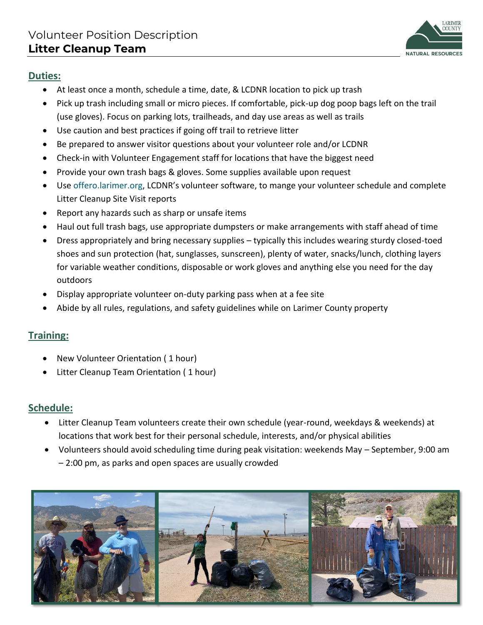

#### **Duties:**

- At least once a month, schedule a time, date, & LCDNR location to pick up trash
- Pick up trash including small or micro pieces. If comfortable, pick-up dog poop bags left on the trail (use gloves). Focus on parking lots, trailheads, and day use areas as well as trails
- Use caution and best practices if going off trail to retrieve litter
- Be prepared to answer visitor questions about your volunteer role and/or LCDNR
- Check-in with Volunteer Engagement staff for locations that have the biggest need
- Provide your own trash bags & gloves. Some supplies available upon request
- Use offero.larimer.org, LCDNR's volunteer software, to mange your volunteer schedule and complete Litter Cleanup Site Visit reports
- Report any hazards such as sharp or unsafe items
- Haul out full trash bags, use appropriate dumpsters or make arrangements with staff ahead of time
- Dress appropriately and bring necessary supplies typically this includes wearing sturdy closed-toed shoes and sun protection (hat, sunglasses, sunscreen), plenty of water, snacks/lunch, clothing layers for variable weather conditions, disposable or work gloves and anything else you need for the day outdoors
- Display appropriate volunteer on-duty parking pass when at a fee site
- Abide by all rules, regulations, and safety guidelines while on Larimer County property

## **Training:**

- New Volunteer Orientation ( 1 hour)
- Litter Cleanup Team Orientation ( 1 hour)

## **Schedule:**

- Litter Cleanup Team volunteers create their own schedule (year-round, weekdays & weekends) at locations that work best for their personal schedule, interests, and/or physical abilities
- Volunteers should avoid scheduling time during peak visitation: weekends May September, 9:00 am – 2:00 pm, as parks and open spaces are usually crowded